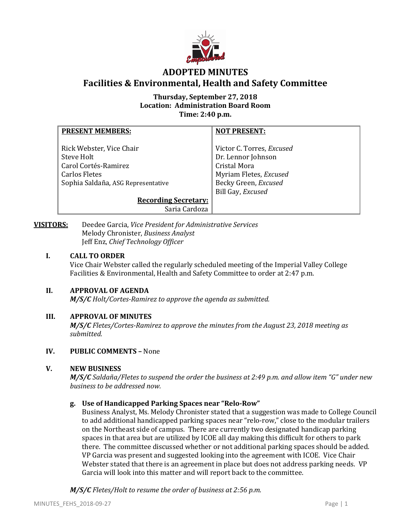

# **ADOPTED MINUTES Facilities & Environmental, Health and Safety Committee**

## **Thursday, September 27, 2018 Location: Administration Board Room Time: 2:40 p.m.**

| <b>PRESENT MEMBERS:</b>            | <b>NOT PRESENT:</b>       |
|------------------------------------|---------------------------|
|                                    |                           |
| Rick Webster, Vice Chair           | Victor C. Torres, Excused |
| Steve Holt                         | Dr. Lennor Johnson        |
| Carol Cortés-Ramirez               | <b>Cristal Mora</b>       |
| <b>Carlos Fletes</b>               | Myriam Fletes, Excused    |
| Sophia Saldaña, ASG Representative | Becky Green, Excused      |
|                                    | Bill Gay, Excused         |
| <b>Recording Secretary:</b>        |                           |
| Saria Cardoza                      |                           |

**VISITORS:** Deedee Garcia, *Vice President for Administrative Services* Melody Chronister, *Business Analyst*  Jeff Enz, *Chief Technology Officer*

## **I. CALL TO ORDER**

Vice Chair Webster called the regularly scheduled meeting of the Imperial Valley College Facilities & Environmental, Health and Safety Committee to order at 2:47 p.m.

## **II. APPROVAL OF AGENDA**

*M/S/C Holt/Cortes-Ramirez to approve the agenda as submitted.*

## **III. APPROVAL OF MINUTES**

*M/S/C Fletes/Cortes-Ramirez to approve the minutes from the August 23, 2018 meeting as submitted.*

## **IV. PUBLIC COMMENTS –** None

## **V. NEW BUSINESS**

*M/S/C Saldaña/Fletes to suspend the order the business at 2:49 p.m. and allow item "G" under new business to be addressed now.*

## **g. Use of Handicapped Parking Spaces near "Relo-Row"**

Business Analyst, Ms. Melody Chronister stated that a suggestion was made to College Council to add additional handicapped parking spaces near "relo-row," close to the modular trailers on the Northeast side of campus. There are currently two designated handicap parking spaces in that area but are utilized by ICOE all day making this difficult for others to park there. The committee discussed whether or not additional parking spaces should be added. VP Garcia was present and suggested looking into the agreement with ICOE. Vice Chair Webster stated that there is an agreement in place but does not address parking needs. VP Garcia will look into this matter and will report back to the committee.

*M/S/C Fletes/Holt to resume the order of business at 2:56 p.m.*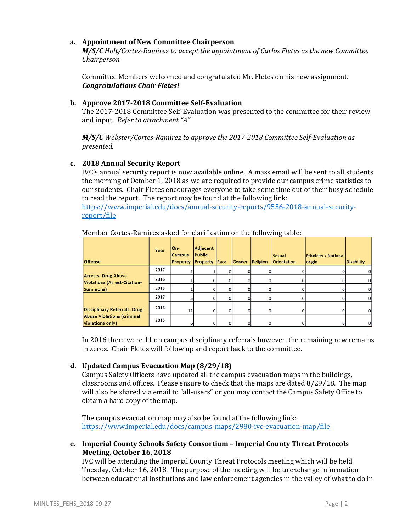## **a. Appointment of New Committee Chairperson**

*M/S/C Holt/Cortes-Ramirez to accept the appointment of Carlos Fletes as the new Committee Chairperson.* 

Committee Members welcomed and congratulated Mr. Fletes on his new assignment. *Congratulations Chair Fletes!*

## **b. Approve 2017-2018 Committee Self-Evaluation**

The 2017-2018 Committee Self-Evaluation was presented to the committee for their review and input. *Refer to attachment "A"*

*M/S/C Webster/Cortes-Ramirez to approve the 2017-2018 Committee Self-Evaluation as presented.*

### **c. 2018 Annual Security Report**

IVC's annual security report is now available online. A mass email will be sent to all students the morning of October 1, 2018 as we are required to provide our campus crime statistics to our students. Chair Fletes encourages everyone to take some time out of their busy schedule to read the report. The report may be found at the following link:

[https://www.imperial.edu/docs/annual-security-reports/9556-2018-annual-security](https://www.imperial.edu/docs/annual-security-reports/9556-2018-annual-security-report/file)[report/file](https://www.imperial.edu/docs/annual-security-reports/9556-2018-annual-security-report/file)

| <b>Offense</b>                                                                        | Year | lOn-<br><b>Campus</b><br><b>Property Property Race</b> | Adjacent<br><b>Public</b> |   | Gender | Religion | <b>Sexual</b><br><b>Orientation</b> | <b>Ethnicity / National</b><br>origin | <b>Disability</b> |
|---------------------------------------------------------------------------------------|------|--------------------------------------------------------|---------------------------|---|--------|----------|-------------------------------------|---------------------------------------|-------------------|
| <b>Arrests: Drug Abuse</b><br>Violations (Arrest-Citation-<br>Summons)                | 2017 |                                                        |                           |   |        |          |                                     |                                       |                   |
|                                                                                       | 2016 |                                                        |                           |   |        |          |                                     |                                       | 0                 |
|                                                                                       | 2015 |                                                        |                           |   |        |          |                                     |                                       |                   |
| Disciplinary Referrals: Drug<br><b>Abuse Violations (criminal</b><br>violations only) | 2017 |                                                        |                           |   |        |          |                                     |                                       |                   |
|                                                                                       | 2016 | 11                                                     |                           | n |        |          |                                     |                                       |                   |
|                                                                                       | 2015 |                                                        |                           |   |        |          |                                     |                                       |                   |

Member Cortes-Ramirez asked for clarification on the following table:

In 2016 there were 11 on campus disciplinary referrals however, the remaining row remains in zeros. Chair Fletes will follow up and report back to the committee.

## **d. Updated Campus Evacuation Map (8/29/18)**

Campus Safety Officers have updated all the campus evacuation maps in the buildings, classrooms and offices. Please ensure to check that the maps are dated 8/29/18. The map will also be shared via email to "all-users" or you may contact the Campus Safety Office to obtain a hard copy of the map.

The campus evacuation map may also be found at the following link: <https://www.imperial.edu/docs/campus-maps/2980-ivc-evacuation-map/file>

## **e. Imperial County Schools Safety Consortium – Imperial County Threat Protocols Meeting, October 16, 2018**

IVC will be attending the Imperial County Threat Protocols meeting which will be held Tuesday, October 16, 2018. The purpose of the meeting will be to exchange information between educational institutions and law enforcement agencies in the valley of what to do in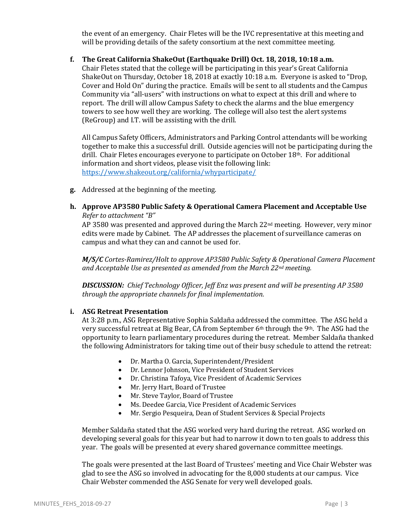the event of an emergency. Chair Fletes will be the IVC representative at this meeting and will be providing details of the safety consortium at the next committee meeting.

### **f. The Great California ShakeOut (Earthquake Drill) Oct. 18, 2018, 10:18 a.m.**

Chair Fletes stated that the college will be participating in this year's Great California ShakeOut on Thursday, October 18, 2018 at exactly 10:18 a.m. Everyone is asked to "Drop, Cover and Hold On" during the practice. Emails will be sent to all students and the Campus Community via "all-users" with instructions on what to expect at this drill and where to report. The drill will allow Campus Safety to check the alarms and the blue emergency towers to see how well they are working. The college will also test the alert systems (ReGroup) and I.T. will be assisting with the drill.

All Campus Safety Officers, Administrators and Parking Control attendants will be working together to make this a successful drill. Outside agencies will not be participating during the drill. Chair Fletes encourages everyone to participate on October 18th. For additional information and short videos, please visit the following link: <https://www.shakeout.org/california/whyparticipate/>

**g.** Addressed at the beginning of the meeting.

## **h. Approve AP3580 Public Safety & Operational Camera Placement and Acceptable Use** *Refer to attachment "B"*

AP 3580 was presented and approved during the March  $22<sup>nd</sup>$  meeting. However, very minor edits were made by Cabinet. The AP addresses the placement of surveillance cameras on campus and what they can and cannot be used for.

*M/S/C Cortes-Ramirez/Holt to approve AP3580 Public Safety & Operational Camera Placement and Acceptable Use as presented as amended from the March 22nd meeting.* 

*DISCUSSION: Chief Technology Officer, Jeff Enz was present and will be presenting AP 3580 through the appropriate channels for final implementation.*

## **i. ASG Retreat Presentation**

At 3:28 p.m., ASG Representative Sophia Saldaña addressed the committee. The ASG held a very successful retreat at Big Bear, CA from September 6th through the 9th. The ASG had the opportunity to learn parliamentary procedures during the retreat. Member Saldaña thanked the following Administrators for taking time out of their busy schedule to attend the retreat:

- Dr. Martha O. Garcia, Superintendent/President
- Dr. Lennor Johnson, Vice President of Student Services
- Dr. Christina Tafoya, Vice President of Academic Services<br>• Mr. Jerry Hart. Board of Trustee
- Mr. Jerry Hart, Board of Trustee
- Mr. Steve Taylor, Board of Trustee
- Ms. Deedee Garcia, Vice President of Academic Services
- Mr. Sergio Pesqueira, Dean of Student Services & Special Projects

Member Saldaña stated that the ASG worked very hard during the retreat. ASG worked on developing several goals for this year but had to narrow it down to ten goals to address this year. The goals will be presented at every shared governance committee meetings.

The goals were presented at the last Board of Trustees' meeting and Vice Chair Webster was glad to see the ASG so involved in advocating for the 8,000 students at our campus. Vice Chair Webster commended the ASG Senate for very well developed goals.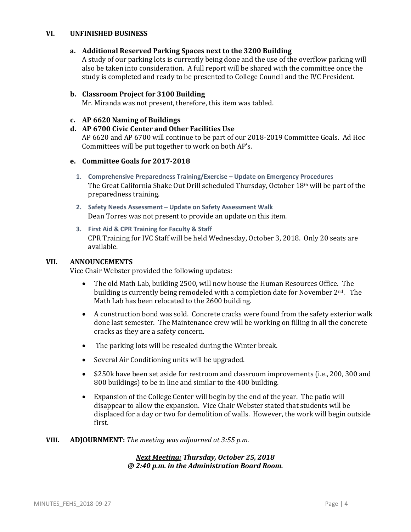## **VI. UNFINISHED BUSINESS**

### **a. Additional Reserved Parking Spaces next to the 3200 Building**

A study of our parking lots is currently being done and the use of the overflow parking will also be taken into consideration. A full report will be shared with the committee once the study is completed and ready to be presented to College Council and the IVC President.

#### **b. Classroom Project for 3100 Building**

Mr. Miranda was not present, therefore, this item was tabled.

### **c. AP 6620 Naming of Buildings**

# **d. AP 6700 Civic Center and Other Facilities Use**

AP 6620 and AP 6700 will continue to be part of our 2018-2019 Committee Goals. Ad Hoc Committees will be put together to work on both AP's.

## **e. Committee Goals for 2017-2018**

- **1. Comprehensive Preparedness Training/Exercise – Update on Emergency Procedures** The Great California Shake Out Drill scheduled Thursday, October 18th will be part of the preparedness training.
- **2. Safety Needs Assessment – Update on Safety Assessment Walk** Dean Torres was not present to provide an update on this item.
- **3. First Aid & CPR Training for Faculty & Staff** CPR Training for IVC Staff will be held Wednesday, October 3, 2018. Only 20 seats are available.

### **VII. ANNOUNCEMENTS**

Vice Chair Webster provided the following updates:

- The old Math Lab, building 2500, will now house the Human Resources Office. The building is currently being remodeled with a completion date for November  $2<sup>nd</sup>$ . The Math Lab has been relocated to the 2600 building.
- A construction bond was sold. Concrete cracks were found from the safety exterior walk done last semester. The Maintenance crew will be working on filling in all the concrete cracks as they are a safety concern.
- The parking lots will be resealed during the Winter break.
- Several Air Conditioning units will be upgraded.
- \$250k have been set aside for restroom and classroom improvements (i.e., 200, 300 and 800 buildings) to be in line and similar to the 400 building.
- Expansion of the College Center will begin by the end of the year. The patio will disappear to allow the expansion. Vice Chair Webster stated that students will be displaced for a day or two for demolition of walls. However, the work will begin outside first.

#### **VIII. ADJOURNMENT:** *The meeting was adjourned at 3:55 p.m.*

## *Next Meeting: Thursday, October 25, 2018 @ 2:40 p.m. in the Administration Board Room.*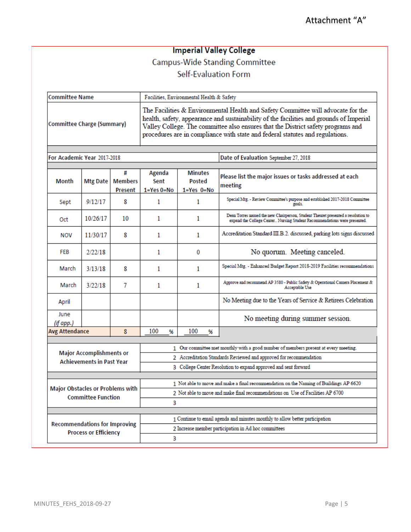# **Imperial Valley College Campus-Wide Standing Committee** Self-Evaluation Form

| <b>Committee Name</b>      | Facilities, Environmental Health & Safety                                                                                                                                                                                                                                                                                                        |  |  |  |
|----------------------------|--------------------------------------------------------------------------------------------------------------------------------------------------------------------------------------------------------------------------------------------------------------------------------------------------------------------------------------------------|--|--|--|
| Committee Charge (Summary) | The Facilities & Environmental Health and Safety Committee will advocate for the<br>health, safety, appearance and sustainability of the facilities and grounds of Imperial<br>Valley College. The committee also ensures that the District safety programs and<br>procedures are in compliance with state and federal statutes and regulations. |  |  |  |

For Academic Year 2017-2018

Date of Evaluation September 27, 2018

| <b>Month</b>                                                         | Mtg Date | #<br><b>Members</b><br>Present                                                      | Agenda<br>Sent<br>$1 = Yes 0 = No$                                                    | <b>Minutes</b><br>Posted<br>$1 = Yes$ $0 = No$ | Please list the major issues or tasks addressed at each<br>meeting                                                                                            |  |  |
|----------------------------------------------------------------------|----------|-------------------------------------------------------------------------------------|---------------------------------------------------------------------------------------|------------------------------------------------|---------------------------------------------------------------------------------------------------------------------------------------------------------------|--|--|
| Sept                                                                 | 9/12/17  | 8                                                                                   | 1                                                                                     | 1                                              | Special Mtg. - Review Committee's purpose and established 2017-2018 Committee<br>goals.                                                                       |  |  |
| Oct                                                                  | 10/26/17 | 10                                                                                  | 1                                                                                     | 1                                              | Dean Torres named the new Chairperson, Student Theuret presented a resolution to<br>expand the College Center Nursing Student Recommendations were presented. |  |  |
| <b>NOV</b>                                                           | 11/30/17 | 8                                                                                   | 1                                                                                     | 1                                              | Accreditation Standard III.B.2. discussed, parking lots signs discussed                                                                                       |  |  |
| FEB                                                                  | 2/22/18  |                                                                                     | 1                                                                                     | 0                                              | No quorum. Meeting canceled.                                                                                                                                  |  |  |
| March                                                                | 3/13/18  | 8                                                                                   | 1                                                                                     | 1                                              | Special Mtg. - Enhanced Budget Report 2018-2019 Facilities recommendations                                                                                    |  |  |
| March                                                                | 3/22/18  | 7                                                                                   | 1                                                                                     | 1                                              | Approve and recommend AP 3580 - Public Safety & Operational Camera Placement &<br>Acceptable Use                                                              |  |  |
| April                                                                |          |                                                                                     |                                                                                       |                                                | No Meeting due to the Years of Service & Retirees Celebration                                                                                                 |  |  |
| June<br>(if app.)                                                    |          |                                                                                     |                                                                                       |                                                | No meeting during summer session.                                                                                                                             |  |  |
| <b>Avg Attendance</b>                                                |          | 8                                                                                   | 100<br>%                                                                              | 100<br>%                                       |                                                                                                                                                               |  |  |
|                                                                      |          | 1 Our committee met monthly with a good number of members present at every meeting. |                                                                                       |                                                |                                                                                                                                                               |  |  |
| <b>Major Accomplishments or</b>                                      |          | 2 Accreditation Standards Reviewed and approved for recommendation                  |                                                                                       |                                                |                                                                                                                                                               |  |  |
| <b>Achievements in Past Year</b>                                     |          |                                                                                     | 3 College Center Resolution to expand approved and sent forward                       |                                                |                                                                                                                                                               |  |  |
|                                                                      |          |                                                                                     | 1 Not able to move and make a final recommendation on the Naming of Buildings AP 6620 |                                                |                                                                                                                                                               |  |  |
| <b>Major Obstacles or Problems with</b><br><b>Committee Function</b> |          | 2 Not able to move and make final recommendations on Use of Facilities AP 6700      |                                                                                       |                                                |                                                                                                                                                               |  |  |
|                                                                      |          | 3                                                                                   |                                                                                       |                                                |                                                                                                                                                               |  |  |
|                                                                      |          |                                                                                     | 1 Continue to email agenda and minutes monthly to allow better participation          |                                                |                                                                                                                                                               |  |  |
| <b>Recommendations for Improving</b><br><b>Process or Efficiency</b> |          |                                                                                     | 2 Increase member participation in Ad hoc committees                                  |                                                |                                                                                                                                                               |  |  |
|                                                                      |          |                                                                                     | 3                                                                                     |                                                |                                                                                                                                                               |  |  |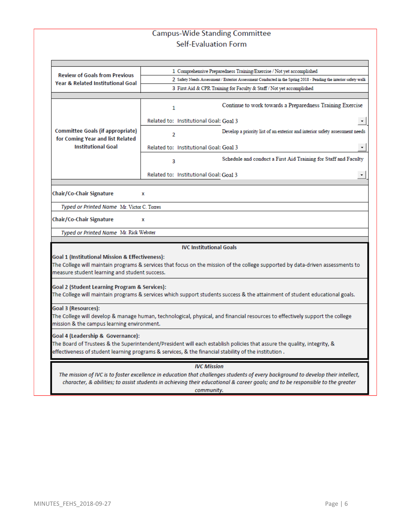# **Campus-Wide Standing Committee** Self-Evaluation Form

| <b>Review of Goals from Previous</b>                                                                                                                                                                                                                                             | 1 Comprehensive Preparedness Training/Exercise / Not yet accomplished                                           |                                                                             |  |  |  |  |
|----------------------------------------------------------------------------------------------------------------------------------------------------------------------------------------------------------------------------------------------------------------------------------|-----------------------------------------------------------------------------------------------------------------|-----------------------------------------------------------------------------|--|--|--|--|
| <b>Year &amp; Related Institutional Goal</b>                                                                                                                                                                                                                                     | 2 Safety Needs Assessment / Exterior Assessment Conducted in the Spring 2018 - Pending the interior safety walk |                                                                             |  |  |  |  |
|                                                                                                                                                                                                                                                                                  | 3 First Aid & CPR Training for Faculty & Staff / Not yet accomplished                                           |                                                                             |  |  |  |  |
|                                                                                                                                                                                                                                                                                  |                                                                                                                 |                                                                             |  |  |  |  |
|                                                                                                                                                                                                                                                                                  | 1                                                                                                               | Continue to work towards a Preparedness Training Exercise                   |  |  |  |  |
|                                                                                                                                                                                                                                                                                  |                                                                                                                 | Related to: Institutional Goal: Goal 3                                      |  |  |  |  |
| Committee Goals (if appropriate)<br>for Coming Year and list Related                                                                                                                                                                                                             | 2                                                                                                               | Develop a priority list of an exterior and interior safety assessment needs |  |  |  |  |
| <b>Institutional Goal</b>                                                                                                                                                                                                                                                        |                                                                                                                 | Related to: Institutional Goal: Goal 3<br>$\blacktriangledown$              |  |  |  |  |
|                                                                                                                                                                                                                                                                                  | 3                                                                                                               | Schedule and conduct a First Aid Training for Staff and Faculty             |  |  |  |  |
|                                                                                                                                                                                                                                                                                  |                                                                                                                 | Related to: Institutional Goal: Goal 3                                      |  |  |  |  |
|                                                                                                                                                                                                                                                                                  |                                                                                                                 |                                                                             |  |  |  |  |
| Chair/Co-Chair Signature                                                                                                                                                                                                                                                         | x                                                                                                               |                                                                             |  |  |  |  |
| Typed or Printed Name Mr. Victor C. Torres                                                                                                                                                                                                                                       |                                                                                                                 |                                                                             |  |  |  |  |
| Chair/Co-Chair Signature                                                                                                                                                                                                                                                         | x                                                                                                               |                                                                             |  |  |  |  |
|                                                                                                                                                                                                                                                                                  | Typed or Printed Name Mr. Rick Webster                                                                          |                                                                             |  |  |  |  |
|                                                                                                                                                                                                                                                                                  |                                                                                                                 |                                                                             |  |  |  |  |
|                                                                                                                                                                                                                                                                                  |                                                                                                                 | <b>IVC Institutional Goals</b>                                              |  |  |  |  |
| Goal 1 (Institutional Mission & Effectiveness):                                                                                                                                                                                                                                  |                                                                                                                 |                                                                             |  |  |  |  |
| The College will maintain programs & services that focus on the mission of the college supported by data-driven assessments to<br>measure student learning and student success.                                                                                                  |                                                                                                                 |                                                                             |  |  |  |  |
| Goal 2 (Student Learning Program & Services):<br>The College will maintain programs & services which support students success & the attainment of student educational goals.                                                                                                     |                                                                                                                 |                                                                             |  |  |  |  |
| Goal 3 (Resources):                                                                                                                                                                                                                                                              |                                                                                                                 |                                                                             |  |  |  |  |
| The College will develop & manage human, technological, physical, and financial resources to effectively support the college<br>mission & the campus learning environment.                                                                                                       |                                                                                                                 |                                                                             |  |  |  |  |
|                                                                                                                                                                                                                                                                                  |                                                                                                                 |                                                                             |  |  |  |  |
| Goal 4 (Leadership & Governance):<br>The Board of Trustees & the Superintendent/President will each establish policies that assure the quality, integrity, &<br>effectiveness of student learning programs & services, & the financial stability of the institution .            |                                                                                                                 |                                                                             |  |  |  |  |
|                                                                                                                                                                                                                                                                                  |                                                                                                                 | <b>IVC Mission</b>                                                          |  |  |  |  |
| The mission of IVC is to foster excellence in education that challenges students of every background to develop their intellect,<br>character, & abilities; to assist students in achieving their educational & career goals; and to be responsible to the greater<br>community. |                                                                                                                 |                                                                             |  |  |  |  |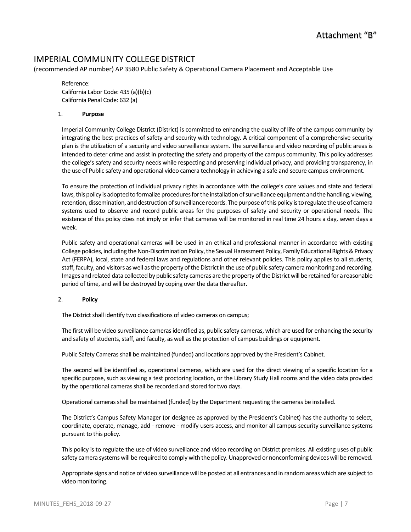# IMPERIAL COMMUNITY COLLEGEDISTRICT

(recommended AP number) AP 3580 Public Safety & Operational Camera Placement and Acceptable Use

Reference: California Labor Code: 435 (a)(b)(c) California Penal Code: 632 (a)

#### 1. **Purpose**

Imperial Community College District (District) is committed to enhancing the quality of life of the campus community by integrating the best practices of safety and security with technology. A critical component of a comprehensive security plan is the utilization of a security and video surveillance system. The surveillance and video recording of public areas is intended to deter crime and assist in protecting the safety and property of the campus community. This policy addresses the college's safety and security needs while respecting and preserving individual privacy, and providing transparency, in the use of Public safety and operational video camera technology in achieving a safe and secure campus environment.

To ensure the protection of individual privacy rights in accordance with the college's core values and state and federal laws, this policy is adopted to formalize procedures for the installation of surveillance equipment and the handling, viewing, retention, dissemination, and destruction of surveillance records. The purpose of this policy is to regulate the use of camera systems used to observe and record public areas for the purposes of safety and security or operational needs. The existence of this policy does not imply or infer that cameras will be monitored in real time 24 hours a day, seven days a week.

Public safety and operational cameras will be used in an ethical and professional manner in accordance with existing College policies, including the Non-Discrimination Policy, the Sexual Harassment Policy, Family Educational Rights & Privacy Act (FERPA), local, state and federal laws and regulations and other relevant policies. This policy applies to all students, staff, faculty, and visitors as well as the property of the District in the use of public safety camera monitoring and recording. Images and related data collected by public safety cameras are the property of the District will be retained for a reasonable period of time, and will be destroyed by coping over the data thereafter.

#### 2. **Policy**

The District shall identify two classifications of video cameras on campus;

The first will be video surveillance cameras identified as, public safety cameras, which are used for enhancing the security and safety of students, staff, and faculty, as well as the protection of campus buildings or equipment.

Public Safety Cameras shall be maintained (funded) and locations approved by the President's Cabinet.

The second will be identified as, operational cameras, which are used for the direct viewing of a specific location for a specific purpose, such as viewing a test proctoring location, or the Library Study Hall rooms and the video data provided by the operational cameras shall be recorded and stored for two days.

Operational cameras shall be maintained (funded) by the Department requesting the cameras be installed.

The District's Campus Safety Manager (or designee as approved by the President's Cabinet) has the authority to select, coordinate, operate, manage, add - remove - modify users access, and monitor all campus security surveillance systems pursuant to this policy.

This policy is to regulate the use of video surveillance and video recording on District premises. All existing uses of public safety camera systems will be required to comply with the policy. Unapproved or nonconforming devices will be removed.

Appropriate signs and notice of video surveillance will be posted at all entrances and in random areas which are subject to video monitoring.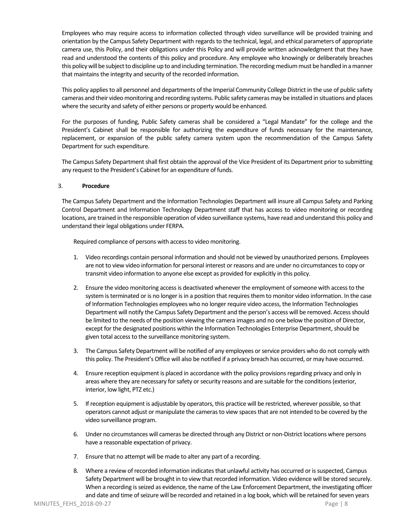Employees who may require access to information collected through video surveillance will be provided training and orientation by the Campus Safety Department with regards to the technical, legal, and ethical parameters of appropriate camera use, this Policy, and their obligations under this Policy and will provide written acknowledgment that they have read and understood the contents of this policy and procedure. Any employee who knowingly or deliberately breaches this policy will be subject to discipline up to and including termination. The recording medium must be handled in a manner that maintains the integrity and security of the recorded information.

This policy applies to all personnel and departments of the Imperial Community College District in the use of public safety cameras and their video monitoring and recording systems. Public safety cameras may be installed in situations and places where the security and safety of either persons or property would be enhanced.

For the purposes of funding, Public Safety cameras shall be considered a "Legal Mandate" for the college and the President's Cabinet shall be responsible for authorizing the expenditure of funds necessary for the maintenance, replacement, or expansion of the public safety camera system upon the recommendation of the Campus Safety Department for such expenditure.

The Campus Safety Department shall first obtain the approval of the Vice President of its Department prior to submitting any request to the President's Cabinet for an expenditure of funds.

#### 3. **Procedure**

The Campus Safety Department and the Information Technologies Department will insure all Campus Safety and Parking Control Department and Information Technology Department staff that has access to video monitoring or recording locations, are trained in the responsible operation of video surveillance systems, have read and understand this policy and understand their legal obligations under FERPA.

Required compliance of persons with access to video monitoring.

- 1. Video recordings contain personal information and should not be viewed by unauthorized persons. Employees are not to view video information for personal interest or reasons and are under no circumstances to copy or transmit video information to anyone else except as provided for explicitly in this policy.
- 2. Ensure the video monitoring access is deactivated whenever the employment of someone with access to the system is terminated or is no longer is in a position that requires them to monitor video information. In the case of Information Technologies employees who no longer require video access, the Information Technologies Department will notify the Campus Safety Department and the person's access will be removed. Access should be limited to the needs of the position viewing the camera images and no one below the position of Director, except for the designated positions within the Information Technologies Enterprise Department, should be given total access to the surveillance monitoring system.
- 3. The Campus Safety Department will be notified of any employees or service providers who do not comply with this policy. The President's Office will also be notified if a privacy breach has occurred, or may have occurred.
- 4. Ensure reception equipment is placed in accordance with the policy provisions regarding privacy and only in areas where they are necessary for safety or security reasons and are suitable for the conditions (exterior, interior, low light, PTZ etc.)
- 5. If reception equipment is adjustable by operators, this practice will be restricted, wherever possible, so that operators cannot adjust or manipulate the cameras to view spaces that are not intended to be covered by the video surveillance program.
- 6. Under no circumstances will cameras be directed through any District or non-District locations where persons have a reasonable expectation of privacy.
- 7. Ensure that no attempt will be made to alter any part of a recording.
- 8. Where a review of recorded information indicates that unlawful activity has occurred or is suspected, Campus Safety Department will be brought in to view that recorded information. Video evidence will be stored securely. When a recording is seized as evidence, the name of the Law Enforcement Department, the investigating officer and date and time of seizure will be recorded and retained in a log book, which will be retained for seven years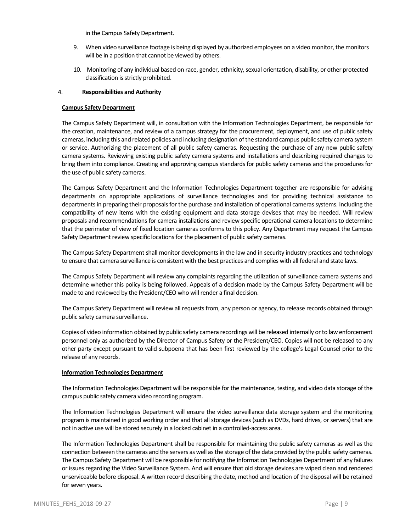in the Campus Safety Department.

- 9. When video surveillance footage is being displayed by authorized employees on a video monitor, the monitors will be in a position that cannot be viewed by others.
- 10. Monitoring of any individual based on race, gender, ethnicity, sexual orientation, disability, or other protected classification is strictly prohibited.

#### 4. **Responsibilities and Authority**

#### **Campus Safety Department**

The Campus Safety Department will, in consultation with the Information Technologies Department, be responsible for the creation, maintenance, and review of a campus strategy for the procurement, deployment, and use of public safety cameras, including this and related policies and including designation of the standard campus public safety camera system or service. Authorizing the placement of all public safety cameras. Requesting the purchase of any new public safety camera systems. Reviewing existing public safety camera systems and installations and describing required changes to bring them into compliance. Creating and approving campus standards for public safety cameras and the procedures for the use of public safety cameras.

The Campus Safety Department and the Information Technologies Department together are responsible for advising departments on appropriate applications of surveillance technologies and for providing technical assistance to departments in preparing their proposals for the purchase and installation of operational cameras systems. Including the compatibility of new items with the existing equipment and data storage devises that may be needed. Will review proposals and recommendations for camera installations and review specific operational camera locations to determine that the perimeter of view of fixed location cameras conforms to this policy. Any Department may request the Campus Safety Department review specific locations for the placement of public safety cameras.

The Campus Safety Department shall monitor developments in the law and in security industry practices and technology to ensure that camera surveillance is consistent with the best practices and complies with all federal and state laws.

The Campus Safety Department will review any complaints regarding the utilization of surveillance camera systems and determine whether this policy is being followed. Appeals of a decision made by the Campus Safety Department will be made to and reviewed by the President/CEO who will render a final decision.

The Campus Safety Department will review all requests from, any person or agency, to release records obtained through public safety camera surveillance.

Copies of video information obtained by public safety camera recordings will be released internally or to law enforcement personnel only as authorized by the Director of Campus Safety or the President/CEO. Copies will not be released to any other party except pursuant to valid subpoena that has been first reviewed by the college's Legal Counsel prior to the release of any records.

#### **Information Technologies Department**

The Information Technologies Department will be responsible for the maintenance, testing, and video data storage of the campus public safety camera video recording program.

The Information Technologies Department will ensure the video surveillance data storage system and the monitoring program is maintained in good working order and that all storage devices (such as DVDs, hard drives, or servers) that are not in active use will be stored securely in a locked cabinet in a controlled-access area.

The Information Technologies Department shall be responsible for maintaining the public safety cameras as well as the connection between the cameras and the servers as well as the storage of the data provided by the public safety cameras. The Campus Safety Department will be responsible for notifying the Information Technologies Department of any failures or issues regarding the Video Surveillance System. And will ensure that old storage devices are wiped clean and rendered unserviceable before disposal. A written record describing the date, method and location of the disposal will be retained for seven years.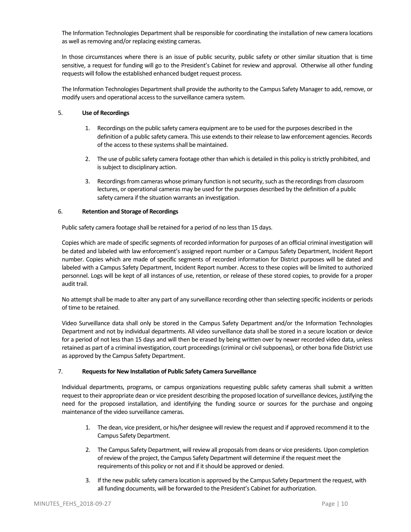The Information Technologies Department shall be responsible for coordinating the installation of new camera locations as well as removing and/or replacing existing cameras.

In those circumstances where there is an issue of public security, public safety or other similar situation that is time sensitive, a request for funding will go to the President's Cabinet for review and approval. Otherwise all other funding requests will follow the established enhanced budget request process.

The Information Technologies Department shall provide the authority to the Campus Safety Manager to add, remove, or modify users and operational access to the surveillance camera system.

#### 5. **Use of Recordings**

- 1. Recordings on the public safety camera equipment are to be used for the purposes described in the definition of a public safety camera. This use extends to their release to law enforcement agencies. Records of the access to these systems shall be maintained.
- 2. The use of public safety camera footage other than which is detailed in this policy is strictly prohibited, and is subject to disciplinary action.
- 3. Recordings from cameras whose primary function is not security, such as the recordings from classroom lectures, or operational cameras may be used for the purposes described by the definition of a public safety camera if the situation warrants an investigation.

#### 6. **Retention and Storage of Recordings**

Public safety camera footage shall be retained for a period of no less than 15 days.

Copies which are made of specific segments of recorded information for purposes of an official criminal investigation will be dated and labeled with law enforcement's assigned report number or a Campus Safety Department, Incident Report number. Copies which are made of specific segments of recorded information for District purposes will be dated and labeled with a Campus Safety Department, Incident Report number. Access to these copies will be limited to authorized personnel. Logs will be kept of all instances of use, retention, or release of these stored copies, to provide for a proper audit trail.

No attempt shall be made to alter any part of any surveillance recording other than selecting specific incidents or periods of time to be retained.

Video Surveillance data shall only be stored in the Campus Safety Department and/or the Information Technologies Department and not by individual departments. All video surveillance data shall be stored in a secure location or device for a period of not less than 15 days and will then be erased by being written over by newer recorded video data, unless retained as part of a criminal investigation, court proceedings (criminal or civil subpoenas), or other bona fide District use as approved by the Campus Safety Department.

#### 7. **Requests for New Installation of Public Safety Camera Surveillance**

Individual departments, programs, or campus organizations requesting public safety cameras shall submit a written request to their appropriate dean or vice president describing the proposed location of surveillance devices, justifying the need for the proposed installation, and identifying the funding source or sources for the purchase and ongoing maintenance of the video surveillance cameras.

- 1. The dean, vice president, or his/her designee will review the request and if approved recommend it to the Campus Safety Department.
- 2. The Campus Safety Department, will review all proposals from deans or vice presidents. Upon completion of review of the project, the Campus Safety Department will determine if the request meet the requirements of this policy or not and if it should be approved or denied.
- 3. If the new public safety camera location is approved by the Campus Safety Department the request, with all funding documents, will be forwarded to the President's Cabinet for authorization.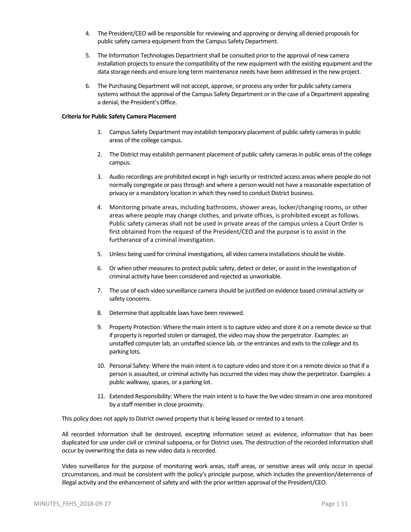- 4. The President/CEO will be responsible for reviewing and approving or denying all denied proposals for public safety camera equipment from the Campus Safety Department.
- 5. The Information Technologies Department shall be consulted prior to the approval of new camera installation projects to ensure the compatibility of the new equipment with the existing equipment and the data storage needs and ensure long term maintenance needs have been addressed in the new project.
- 6. The Purchasing Department will not accept, approve, or process any order for public safety camera systems without the approval of the Campus Safety Department or in the case of a Department appealing a denial, the President's Office.

#### **Criteria for Public Safety Camera Placement**

- 1. Campus Safety Department may establish temporary placement of public safety cameras in public areas of the college campus.
- 2. The District may establish permanent placement of public safety cameras in public areas of the college campus.
- 3. Audio recordings are prohibited except in high security or restricted access areas where people do not normally congregate or pass through and where a person would not have a reasonable expectation of privacy or a mandatory location in which they need to conduct District business.
- 4. Monitoring private areas, including bathrooms, shower areas, locker/changing rooms, or other areas where people may change clothes, and private offices, is prohibited except as follows. Public safety cameras shall not be used in private areas of the campus unless a Court Order is first obtained from the request of the President/CEO and the purpose is to assist in the furtherance of a criminal investigation.
- 5. Unless being used for criminal investigations, all video camera installations should be visible.
- 6. Or when other measures to protect public safety, detect or deter, or assist in the investigation of criminal activity have been considered and rejected as unworkable.
- 7. The use of each video surveillance camera should be justified on evidence based criminal activity or safety concerns.
- 8. Determine that applicable laws have been reviewed.
- 9. Property Protection: Where the main intent is to capture video and store it on a remote device so that if property is reported stolen or damaged, the video may show the perpetrator. Examples: an unstaffed computer lab, an unstaffed science lab, or the entrances and exits to the college and its parking lots.
- 10. Personal Safety: Where the main intent is to capture video and store it on a remote device so that if a person is assaulted, or criminal activity has occurred the video may show the perpetrator. Examples: a public walkway, spaces, or a parking lot.
- 11. Extended Responsibility: Where the main intent is to have the live video stream in one area monitored by a staff member in close proximity.

This policy does not apply to District owned property that is being leased or rented to a tenant.

All recorded information shall be destroyed, excepting information seized as evidence, information that has been duplicated for use under civil or criminal subpoena, or for District uses. The destruction of the recorded information shall occur by overwriting the data as new video data is recorded.

Video surveillance for the purpose of monitoring work areas, staff areas, or sensitive areas will only occur in special circumstances, and must be consistent with the policy's principle purpose, which includes the prevention/deterrence of illegal activity and the enhancement of safety and with the prior written approval of the President/CEO.